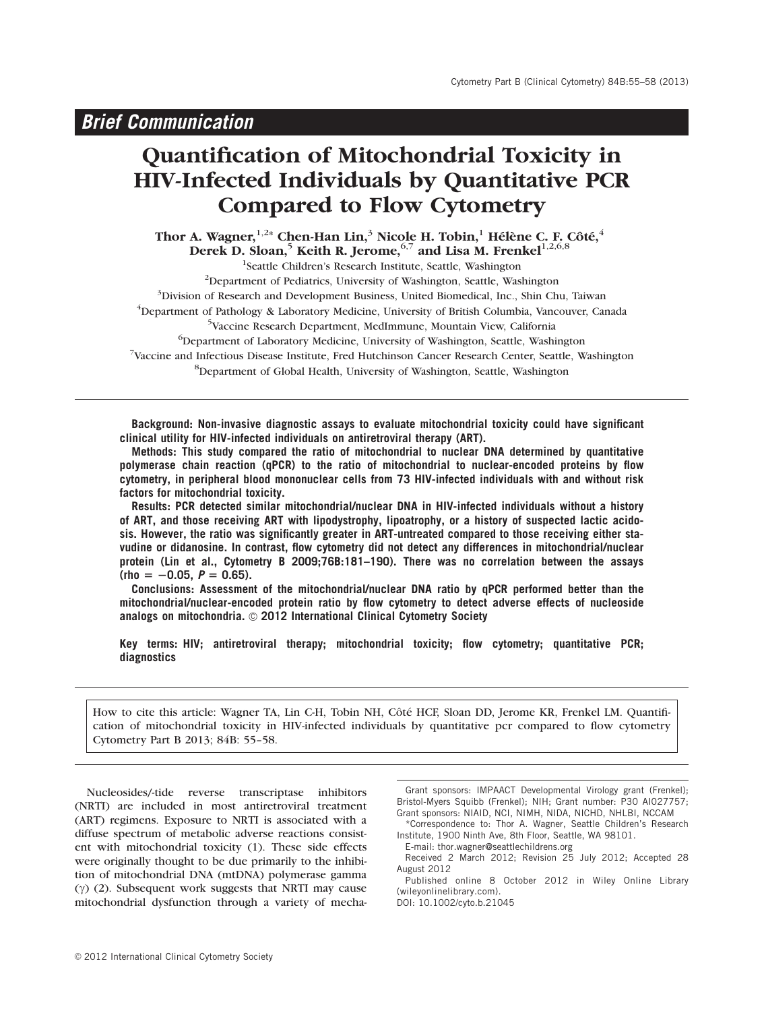# Quantification of Mitochondrial Toxicity in HIV-Infected Individuals by Quantitative PCR Compared to Flow Cytometry

Thor A. Wagner, $^{1,2\ast}$  Chen-Han Lin, $^3$  Nicole H. Tobin, $^1$  Hélène C. F. Côté, $^4$ Derek D. Sloan, $^5$  Keith R. Jerome, $^{6,7}$  and Lisa M. Frenkel $^{1,2,6,8}$ 

<sup>1</sup>Seattle Children's Research Institute, Seattle, Washington <sup>2</sup>Department of Pediatrics, University of Washington, Seattle, Washington <sup>3</sup>Division of Research and Development Business, United Biomedical, Inc., Shin Chu, Taiwan <sup>4</sup>Department of Pathology & Laboratory Medicine, University of British Columbia, Vancouver, Canada 5 Vaccine Research Department, MedImmune, Mountain View, California 6 Department of Laboratory Medicine, University of Washington, Seattle, Washington 7 Vaccine and Infectious Disease Institute, Fred Hutchinson Cancer Research Center, Seattle, Washington 8 Department of Global Health, University of Washington, Seattle, Washington

**Background: Non-invasive diagnostic assays to evaluate mitochondrial toxicity could have significant clinical utility for HIV-infected individuals on antiretroviral therapy (ART).**

**Methods: This study compared the ratio of mitochondrial to nuclear DNA determined by quantitative polymerase chain reaction (qPCR) to the ratio of mitochondrial to nuclear-encoded proteins by flow cytometry, in peripheral blood mononuclear cells from 73 HIV-infected individuals with and without risk factors for mitochondrial toxicity.**

**Results: PCR detected similar mitochondrial/nuclear DNA in HIV-infected individuals without a history of ART, and those receiving ART with lipodystrophy, lipoatrophy, or a history of suspected lactic acidosis. However, the ratio was significantly greater in ART-untreated compared to those receiving either stavudine or didanosine. In contrast, flow cytometry did not detect any differences in mitochondrial/nuclear protein (Lin et al., Cytometry B 2009;76B:181–190). There was no correlation between the assays**  $(rho = -0.05, P = 0.65)$ .

**Conclusions: Assessment of the mitochondrial/nuclear DNA ratio by qPCR performed better than the mitochondrial/nuclear-encoded protein ratio by flow cytometry to detect adverse effects of nucleoside** analogs on mitochondria. © 2012 International Clinical Cytometry Society

**Key terms: HIV; antiretroviral therapy; mitochondrial toxicity; flow cytometry; quantitative PCR; diagnostics**

How to cite this article: Wagner TA, Lin C-H, Tobin NH, Côté HCF, Sloan DD, Jerome KR, Frenkel LM. Quantification of mitochondrial toxicity in HIV-infected individuals by quantitative pcr compared to flow cytometry Cytometry Part B 2013; 84B: 55–58.

Nucleosides/-tide reverse transcriptase inhibitors (NRTI) are included in most antiretroviral treatment (ART) regimens. Exposure to NRTI is associated with a diffuse spectrum of metabolic adverse reactions consistent with mitochondrial toxicity (1). These side effects were originally thought to be due primarily to the inhibition of mitochondrial DNA (mtDNA) polymerase gamma  $(\gamma)$  (2). Subsequent work suggests that NRTI may cause mitochondrial dysfunction through a variety of mecha-

Grant sponsors: IMPAACT Developmental Virology grant (Frenkel); Bristol-Myers Squibb (Frenkel); NIH; Grant number: P30 AI027757; Grant sponsors: NIAID, NCI, NIMH, NIDA, NICHD, NHLBI, NCCAM

\*Correspondence to: Thor A. Wagner, Seattle Children's Research Institute, 1900 Ninth Ave, 8th Floor, Seattle, WA 98101.

E-mail: thor.wagner@seattlechildrens.org

Published online 8 October 2012 in Wiley Online Library (wileyonlinelibrary.com).

DOI: 10.1002/cyto.b.21045

Received 2 March 2012; Revision 25 July 2012; Accepted 28 August 2012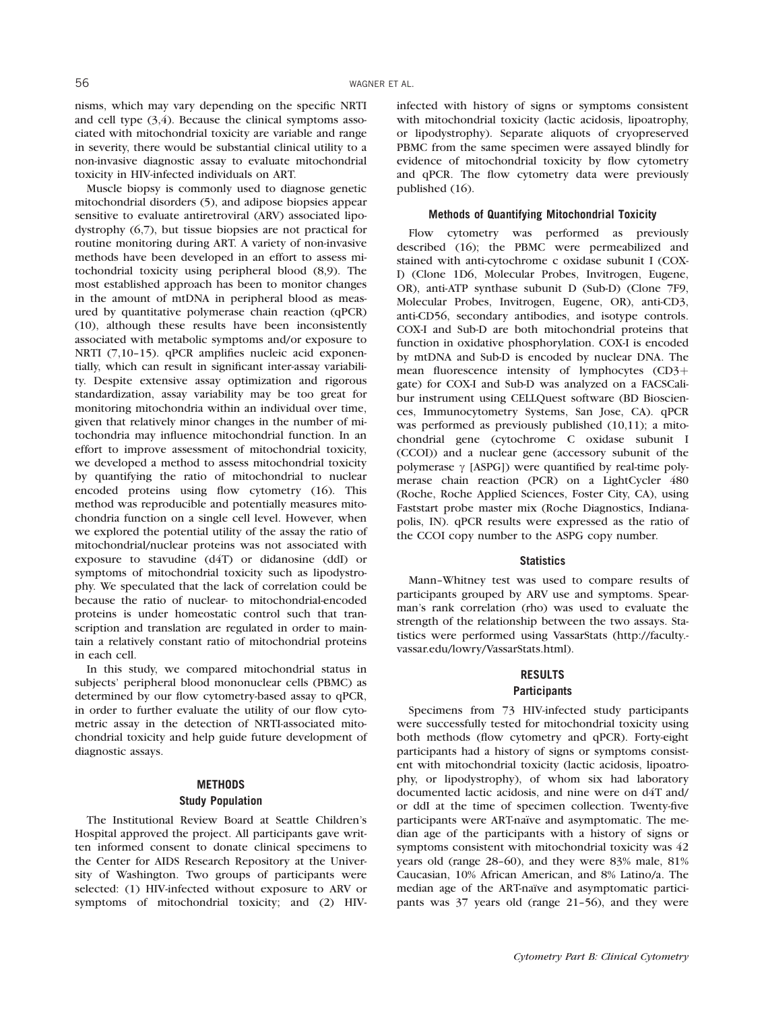nisms, which may vary depending on the specific NRTI and cell type (3,4). Because the clinical symptoms associated with mitochondrial toxicity are variable and range in severity, there would be substantial clinical utility to a non-invasive diagnostic assay to evaluate mitochondrial toxicity in HIV-infected individuals on ART.

Muscle biopsy is commonly used to diagnose genetic mitochondrial disorders (5), and adipose biopsies appear sensitive to evaluate antiretroviral (ARV) associated lipodystrophy (6,7), but tissue biopsies are not practical for routine monitoring during ART. A variety of non-invasive methods have been developed in an effort to assess mitochondrial toxicity using peripheral blood (8,9). The most established approach has been to monitor changes in the amount of mtDNA in peripheral blood as measured by quantitative polymerase chain reaction (qPCR) (10), although these results have been inconsistently associated with metabolic symptoms and/or exposure to NRTI (7,10-15). qPCR amplifies nucleic acid exponentially, which can result in significant inter-assay variability. Despite extensive assay optimization and rigorous standardization, assay variability may be too great for monitoring mitochondria within an individual over time, given that relatively minor changes in the number of mitochondria may influence mitochondrial function. In an effort to improve assessment of mitochondrial toxicity, we developed a method to assess mitochondrial toxicity by quantifying the ratio of mitochondrial to nuclear encoded proteins using flow cytometry (16). This method was reproducible and potentially measures mitochondria function on a single cell level. However, when we explored the potential utility of the assay the ratio of mitochondrial/nuclear proteins was not associated with exposure to stavudine (d4T) or didanosine (ddI) or symptoms of mitochondrial toxicity such as lipodystrophy. We speculated that the lack of correlation could be because the ratio of nuclear- to mitochondrial-encoded proteins is under homeostatic control such that transcription and translation are regulated in order to maintain a relatively constant ratio of mitochondrial proteins in each cell.

In this study, we compared mitochondrial status in subjects' peripheral blood mononuclear cells (PBMC) as determined by our flow cytometry-based assay to qPCR, in order to further evaluate the utility of our flow cytometric assay in the detection of NRTI-associated mitochondrial toxicity and help guide future development of diagnostic assays.

## **METHODS Study Population**

The Institutional Review Board at Seattle Children's Hospital approved the project. All participants gave written informed consent to donate clinical specimens to the Center for AIDS Research Repository at the University of Washington. Two groups of participants were selected: (1) HIV-infected without exposure to ARV or symptoms of mitochondrial toxicity; and (2) HIV-

infected with history of signs or symptoms consistent with mitochondrial toxicity (lactic acidosis, lipoatrophy, or lipodystrophy). Separate aliquots of cryopreserved PBMC from the same specimen were assayed blindly for evidence of mitochondrial toxicity by flow cytometry and qPCR. The flow cytometry data were previously published (16).

## **Methods of Quantifying Mitochondrial Toxicity**

Flow cytometry was performed as previously described (16); the PBMC were permeabilized and stained with anti-cytochrome c oxidase subunit I (COX-I) (Clone 1D6, Molecular Probes, Invitrogen, Eugene, OR), anti-ATP synthase subunit D (Sub-D) (Clone 7F9, Molecular Probes, Invitrogen, Eugene, OR), anti-CD3, anti-CD56, secondary antibodies, and isotype controls. COX-I and Sub-D are both mitochondrial proteins that function in oxidative phosphorylation. COX-I is encoded by mtDNA and Sub-D is encoded by nuclear DNA. The mean fluorescence intensity of lymphocytes  $(CD3+)$ gate) for COX-I and Sub-D was analyzed on a FACSCalibur instrument using CELLQuest software (BD Biosciences, Immunocytometry Systems, San Jose, CA). qPCR was performed as previously published (10,11); a mitochondrial gene (cytochrome C oxidase subunit I (CCOI)) and a nuclear gene (accessory subunit of the polymerase  $\gamma$  [ASPG]) were quantified by real-time polymerase chain reaction (PCR) on a LightCycler 480 (Roche, Roche Applied Sciences, Foster City, CA), using Faststart probe master mix (Roche Diagnostics, Indianapolis, IN). qPCR results were expressed as the ratio of the CCOI copy number to the ASPG copy number.

#### **Statistics**

Mann–Whitney test was used to compare results of participants grouped by ARV use and symptoms. Spearman's rank correlation (rho) was used to evaluate the strength of the relationship between the two assays. Statistics were performed using VassarStats (http://faculty. vassar.edu/lowry/VassarStats.html).

## **RESULTS**

## **Participants**

Specimens from 73 HIV-infected study participants were successfully tested for mitochondrial toxicity using both methods (flow cytometry and qPCR). Forty-eight participants had a history of signs or symptoms consistent with mitochondrial toxicity (lactic acidosis, lipoatrophy, or lipodystrophy), of whom six had laboratory documented lactic acidosis, and nine were on d4T and/ or ddI at the time of specimen collection. Twenty-five participants were ART-naïve and asymptomatic. The median age of the participants with a history of signs or symptoms consistent with mitochondrial toxicity was 42 years old (range 28–60), and they were 83% male, 81% Caucasian, 10% African American, and 8% Latino/a. The median age of the ART-naı̈ve and asymptomatic participants was 37 years old (range 21–56), and they were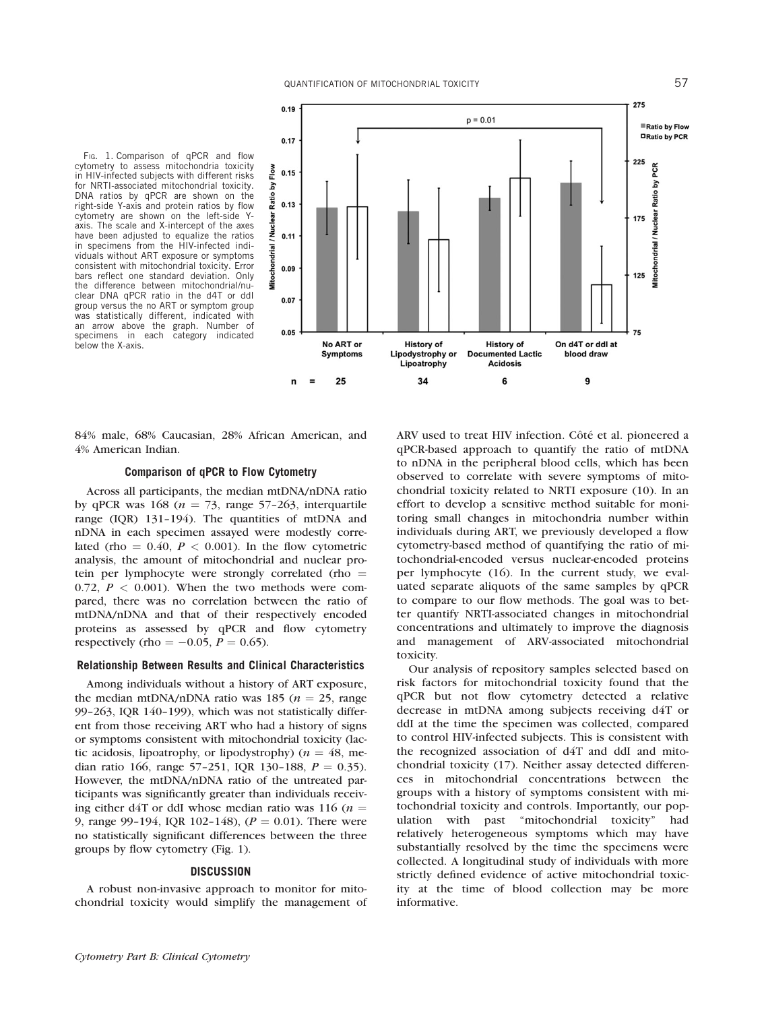FIG. 1. Comparison of qPCR and flow cytometry to assess mitochondria toxicity in HIV-infected subjects with different risks for NRTI-associated mitochondrial toxicity. DNA ratios by qPCR are shown on the right-side Y-axis and protein ratios by flow cytometry are shown on the left-side Yaxis. The scale and X-intercept of the axes have been adjusted to equalize the ratios in specimens from the HIV-infected individuals without ART exposure or symptoms consistent with mitochondrial toxicity. Error bars reflect one standard deviation. Only the difference between mitochondrial/nuclear DNA qPCR ratio in the d4T or ddI group versus the no ART or symptom group was statistically different, indicated with an arrow above the graph. Number of specimens in each category indicated below the X-axis.



84% male, 68% Caucasian, 28% African American, and 4% American Indian.

## **Comparison of qPCR to Flow Cytometry**

Across all participants, the median mtDNA/nDNA ratio by qPCR was 168 ( $n = 73$ , range 57-263, interquartile range (IQR) 131–194). The quantities of mtDNA and nDNA in each specimen assayed were modestly correlated (rho  $= 0.40$ ,  $P < 0.001$ ). In the flow cytometric analysis, the amount of mitochondrial and nuclear protein per lymphocyte were strongly correlated (rho  $=$ 0.72,  $P < 0.001$ ). When the two methods were compared, there was no correlation between the ratio of mtDNA/nDNA and that of their respectively encoded proteins as assessed by qPCR and flow cytometry respectively (rho =  $-0.05$ ,  $P = 0.65$ ).

### **Relationship Between Results and Clinical Characteristics**

Among individuals without a history of ART exposure, the median mtDNA/nDNA ratio was 185 ( $n = 25$ , range 99–263, IQR 140–199), which was not statistically different from those receiving ART who had a history of signs or symptoms consistent with mitochondrial toxicity (lactic acidosis, lipoatrophy, or lipodystrophy) ( $n = 48$ , median ratio 166, range 57-251, IQR 130-188,  $P = 0.35$ ). However, the mtDNA/nDNA ratio of the untreated participants was significantly greater than individuals receiving either d4T or ddI whose median ratio was 116 ( $n =$ 9, range 99-194, IQR 102-148),  $(P = 0.01)$ . There were no statistically significant differences between the three groups by flow cytometry (Fig. 1).

#### **DISCUSSION**

A robust non-invasive approach to monitor for mitochondrial toxicity would simplify the management of ARV used to treat HIV infection. Côté et al. pioneered a qPCR-based approach to quantify the ratio of mtDNA to nDNA in the peripheral blood cells, which has been observed to correlate with severe symptoms of mitochondrial toxicity related to NRTI exposure (10). In an effort to develop a sensitive method suitable for monitoring small changes in mitochondria number within individuals during ART, we previously developed a flow cytometry-based method of quantifying the ratio of mitochondrial-encoded versus nuclear-encoded proteins per lymphocyte (16). In the current study, we evaluated separate aliquots of the same samples by qPCR to compare to our flow methods. The goal was to better quantify NRTI-associated changes in mitochondrial concentrations and ultimately to improve the diagnosis and management of ARV-associated mitochondrial toxicity.

Our analysis of repository samples selected based on risk factors for mitochondrial toxicity found that the qPCR but not flow cytometry detected a relative decrease in mtDNA among subjects receiving d4T or ddI at the time the specimen was collected, compared to control HIV-infected subjects. This is consistent with the recognized association of d4T and ddI and mitochondrial toxicity (17). Neither assay detected differences in mitochondrial concentrations between the groups with a history of symptoms consistent with mitochondrial toxicity and controls. Importantly, our population with past ''mitochondrial toxicity'' had relatively heterogeneous symptoms which may have substantially resolved by the time the specimens were collected. A longitudinal study of individuals with more strictly defined evidence of active mitochondrial toxicity at the time of blood collection may be more informative.